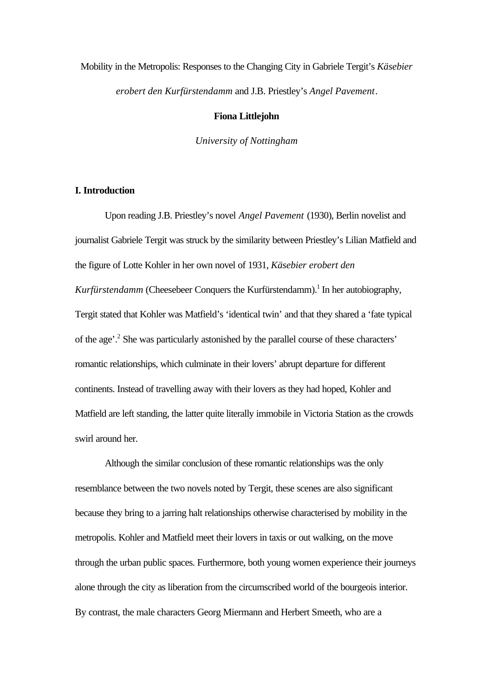# Mobility in the Metropolis: Responses to the Changing City in Gabriele Tergit's *Käsebier erobert den Kurfürstendamm* and J.B. Priestley's *Angel Pavement*.

### **Fiona Littlejohn**

*University of Nottingham*

# **I. Introduction**

Upon reading J.B. Priestley's novel *Angel Pavement* (1930), Berlin novelist and journalist Gabriele Tergit was struck by the similarity between Priestley's Lilian Matfield and the figure of Lotte Kohler in her own novel of 1931, *Käsebier erobert den Kurfürstendamm* (Cheesebeer Conquers the Kurfürstendamm).<sup>1</sup> In her autobiography, Tergit stated that Kohler was Matfield's 'identical twin' and that they shared a 'fate typical of the age'.<sup>2</sup> She was particularly astonished by the parallel course of these characters' romantic relationships, which culminate in their lovers' abrupt departure for different continents. Instead of travelling away with their lovers as they had hoped, Kohler and Matfield are left standing, the latter quite literally immobile in Victoria Station as the crowds swirl around her.

Although the similar conclusion of these romantic relationships was the only resemblance between the two novels noted by Tergit, these scenes are also significant because they bring to a jarring halt relationships otherwise characterised by mobility in the metropolis. Kohler and Matfield meet their lovers in taxis or out walking, on the move through the urban public spaces. Furthermore, both young women experience their journeys alone through the city as liberation from the circumscribed world of the bourgeois interior. By contrast, the male characters Georg Miermann and Herbert Smeeth, who are a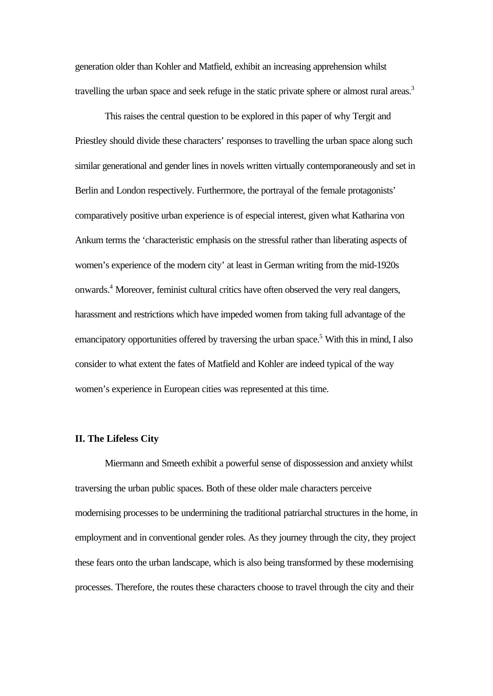generation older than Kohler and Matfield, exhibit an increasing apprehension whilst travelling the urban space and seek refuge in the static private sphere or almost rural areas.<sup>3</sup>

This raises the central question to be explored in this paper of why Tergit and Priestley should divide these characters' responses to travelling the urban space along such similar generational and gender lines in novels written virtually contemporaneously and set in Berlin and London respectively. Furthermore, the portrayal of the female protagonists' comparatively positive urban experience is of especial interest, given what Katharina von Ankum terms the 'characteristic emphasis on the stressful rather than liberating aspects of women's experience of the modern city' at least in German writing from the mid-1920s onwards.<sup>4</sup> Moreover, feminist cultural critics have often observed the very real dangers, harassment and restrictions which have impeded women from taking full advantage of the emancipatory opportunities offered by traversing the urban space.<sup>5</sup> With this in mind, I also consider to what extent the fates of Matfield and Kohler are indeed typical of the way women's experience in European cities was represented at this time.

# **II. The Lifeless City**

Miermann and Smeeth exhibit a powerful sense of dispossession and anxiety whilst traversing the urban public spaces. Both of these older male characters perceive modernising processes to be undermining the traditional patriarchal structures in the home, in employment and in conventional gender roles. As they journey through the city, they project these fears onto the urban landscape, which is also being transformed by these modernising processes. Therefore, the routes these characters choose to travel through the city and their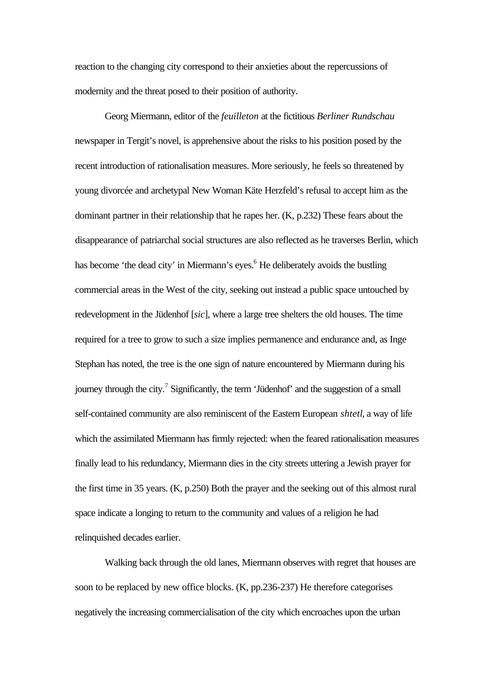reaction to the changing city correspond to their anxieties about the repercussions of modernity and the threat posed to their position of authority.

Georg Miermann, editor of the *feuilleton* at the fictitious *Berliner Rundschau* newspaper in Tergit's novel, is apprehensive about the risks to his position posed by the recent introduction of rationalisation measures. More seriously, he feels so threatened by young divorcée and archetypal New Woman Käte Herzfeld's refusal to accept him as the dominant partner in their relationship that he rapes her. (K, p.232) These fears about the disappearance of patriarchal social structures are also reflected as he traverses Berlin, which has become 'the dead city' in Miermann's eyes.<sup>6</sup> He deliberately avoids the bustling commercial areas in the West of the city, seeking out instead a public space untouched by redevelopment in the Jüdenhof [*sic*], where a large tree shelters the old houses. The time required for a tree to grow to such a size implies permanence and endurance and, as Inge Stephan has noted, the tree is the one sign of nature encountered by Miermann during his journey through the city.<sup>7</sup> Significantly, the term 'Jüdenhof' and the suggestion of a small self-contained community are also reminiscent of the Eastern European *shtetl*, a way of life which the assimilated Miermann has firmly rejected: when the feared rationalisation measures finally lead to his redundancy, Miermann dies in the city streets uttering a Jewish prayer for the first time in 35 years. (K, p.250) Both the prayer and the seeking out of this almost rural space indicate a longing to return to the community and values of a religion he had relinquished decades earlier.

Walking back through the old lanes, Miermann observes with regret that houses are soon to be replaced by new office blocks. (K, pp.236-237) He therefore categorises negatively the increasing commercialisation of the city which encroaches upon the urban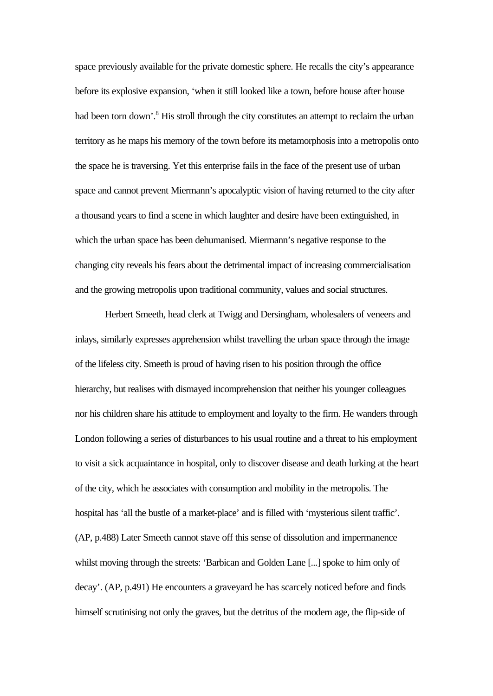space previously available for the private domestic sphere. He recalls the city's appearance before its explosive expansion, 'when it still looked like a town, before house after house had been torn down'.<sup>8</sup> His stroll through the city constitutes an attempt to reclaim the urban territory as he maps his memory of the town before its metamorphosis into a metropolis onto the space he is traversing. Yet this enterprise fails in the face of the present use of urban space and cannot prevent Miermann's apocalyptic vision of having returned to the city after a thousand years to find a scene in which laughter and desire have been extinguished, in which the urban space has been dehumanised. Miermann's negative response to the changing city reveals his fears about the detrimental impact of increasing commercialisation and the growing metropolis upon traditional community, values and social structures.

Herbert Smeeth, head clerk at Twigg and Dersingham, wholesalers of veneers and inlays, similarly expresses apprehension whilst travelling the urban space through the image of the lifeless city. Smeeth is proud of having risen to his position through the office hierarchy, but realises with dismayed incomprehension that neither his younger colleagues nor his children share his attitude to employment and loyalty to the firm. He wanders through London following a series of disturbances to his usual routine and a threat to his employment to visit a sick acquaintance in hospital, only to discover disease and death lurking at the heart of the city, which he associates with consumption and mobility in the metropolis. The hospital has 'all the bustle of a market-place' and is filled with 'mysterious silent traffic'. (AP, p.488) Later Smeeth cannot stave off this sense of dissolution and impermanence whilst moving through the streets: 'Barbican and Golden Lane [...] spoke to him only of decay'. (AP, p.491) He encounters a graveyard he has scarcely noticed before and finds himself scrutinising not only the graves, but the detritus of the modern age, the flip-side of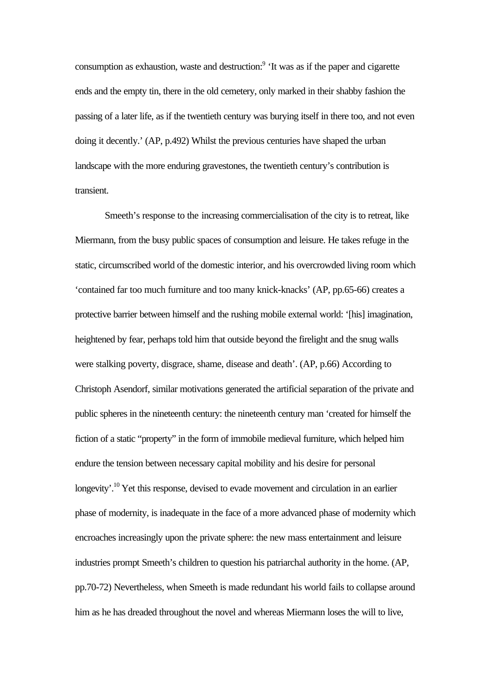consumption as exhaustion, waste and destruction:<sup>9</sup> 'It was as if the paper and cigarette ends and the empty tin, there in the old cemetery, only marked in their shabby fashion the passing of a later life, as if the twentieth century was burying itself in there too, and not even doing it decently.' (AP, p.492) Whilst the previous centuries have shaped the urban landscape with the more enduring gravestones, the twentieth century's contribution is transient.

Smeeth's response to the increasing commercialisation of the city is to retreat, like Miermann, from the busy public spaces of consumption and leisure. He takes refuge in the static, circumscribed world of the domestic interior, and his overcrowded living room which 'contained far too much furniture and too many knick-knacks' (AP, pp.65-66) creates a protective barrier between himself and the rushing mobile external world: '[his] imagination, heightened by fear, perhaps told him that outside beyond the firelight and the snug walls were stalking poverty, disgrace, shame, disease and death'. (AP, p.66) According to Christoph Asendorf, similar motivations generated the artificial separation of the private and public spheres in the nineteenth century: the nineteenth century man 'created for himself the fiction of a static "property" in the form of immobile medieval furniture, which helped him endure the tension between necessary capital mobility and his desire for personal longevity'.<sup>10</sup> Yet this response, devised to evade movement and circulation in an earlier phase of modernity, is inadequate in the face of a more advanced phase of modernity which encroaches increasingly upon the private sphere: the new mass entertainment and leisure industries prompt Smeeth's children to question his patriarchal authority in the home. (AP, pp.70-72) Nevertheless, when Smeeth is made redundant his world fails to collapse around him as he has dreaded throughout the novel and whereas Miermann loses the will to live,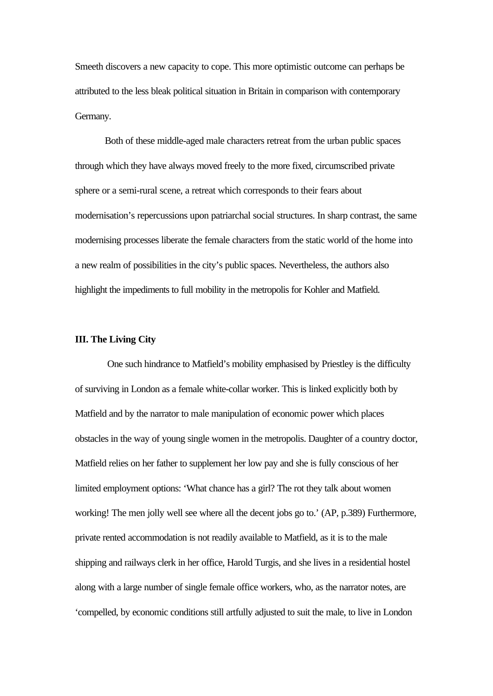Smeeth discovers a new capacity to cope. This more optimistic outcome can perhaps be attributed to the less bleak political situation in Britain in comparison with contemporary Germany.

Both of these middle-aged male characters retreat from the urban public spaces through which they have always moved freely to the more fixed, circumscribed private sphere or a semi-rural scene, a retreat which corresponds to their fears about modernisation's repercussions upon patriarchal social structures. In sharp contrast, the same modernising processes liberate the female characters from the static world of the home into a new realm of possibilities in the city's public spaces. Nevertheless, the authors also highlight the impediments to full mobility in the metropolis for Kohler and Matfield.

#### **III. The Living City**

 One such hindrance to Matfield's mobility emphasised by Priestley is the difficulty of surviving in London as a female white-collar worker. This is linked explicitly both by Matfield and by the narrator to male manipulation of economic power which places obstacles in the way of young single women in the metropolis. Daughter of a country doctor, Matfield relies on her father to supplement her low pay and she is fully conscious of her limited employment options: 'What chance has a girl? The rot they talk about women working! The men jolly well see where all the decent jobs go to.' (AP, p.389) Furthermore, private rented accommodation is not readily available to Matfield, as it is to the male shipping and railways clerk in her office, Harold Turgis, and she lives in a residential hostel along with a large number of single female office workers, who, as the narrator notes, are 'compelled, by economic conditions still artfully adjusted to suit the male, to live in London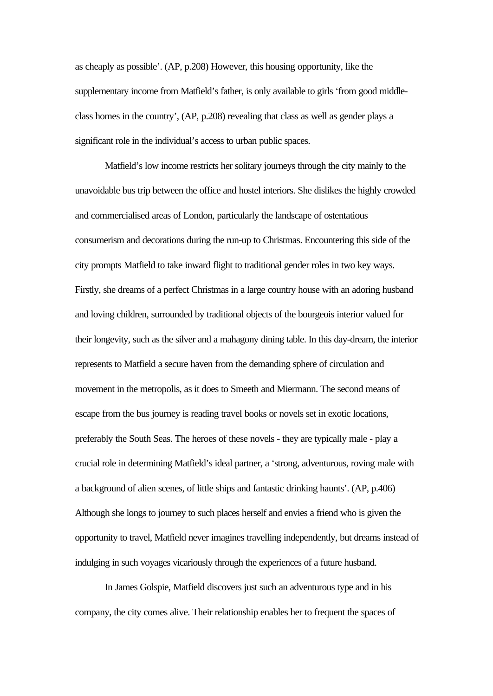as cheaply as possible'. (AP, p.208) However, this housing opportunity, like the supplementary income from Matfield's father, is only available to girls 'from good middleclass homes in the country', (AP, p.208) revealing that class as well as gender plays a significant role in the individual's access to urban public spaces.

Matfield's low income restricts her solitary journeys through the city mainly to the unavoidable bus trip between the office and hostel interiors. She dislikes the highly crowded and commercialised areas of London, particularly the landscape of ostentatious consumerism and decorations during the run-up to Christmas. Encountering this side of the city prompts Matfield to take inward flight to traditional gender roles in two key ways. Firstly, she dreams of a perfect Christmas in a large country house with an adoring husband and loving children, surrounded by traditional objects of the bourgeois interior valued for their longevity, such as the silver and a mahagony dining table. In this day-dream, the interior represents to Matfield a secure haven from the demanding sphere of circulation and movement in the metropolis, as it does to Smeeth and Miermann. The second means of escape from the bus journey is reading travel books or novels set in exotic locations, preferably the South Seas. The heroes of these novels - they are typically male - play a crucial role in determining Matfield's ideal partner, a 'strong, adventurous, roving male with a background of alien scenes, of little ships and fantastic drinking haunts'. (AP, p.406) Although she longs to journey to such places herself and envies a friend who is given the opportunity to travel, Matfield never imagines travelling independently, but dreams instead of indulging in such voyages vicariously through the experiences of a future husband.

In James Golspie, Matfield discovers just such an adventurous type and in his company, the city comes alive. Their relationship enables her to frequent the spaces of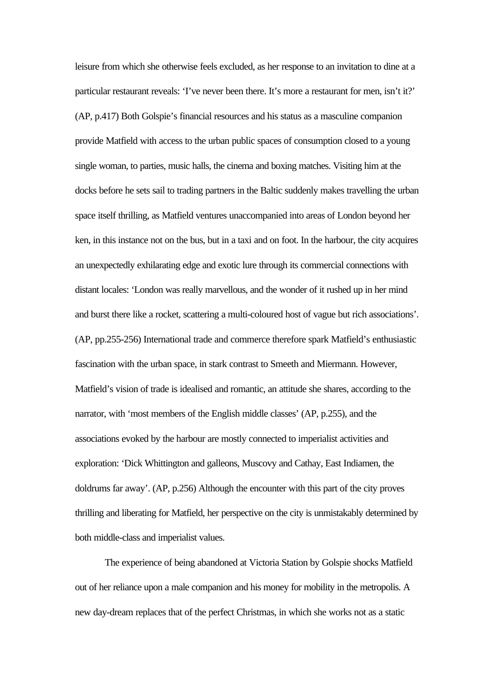leisure from which she otherwise feels excluded, as her response to an invitation to dine at a particular restaurant reveals: 'I've never been there. It's more a restaurant for men, isn't it?' (AP, p.417) Both Golspie's financial resources and his status as a masculine companion provide Matfield with access to the urban public spaces of consumption closed to a young single woman, to parties, music halls, the cinema and boxing matches. Visiting him at the docks before he sets sail to trading partners in the Baltic suddenly makes travelling the urban space itself thrilling, as Matfield ventures unaccompanied into areas of London beyond her ken, in this instance not on the bus, but in a taxi and on foot. In the harbour, the city acquires an unexpectedly exhilarating edge and exotic lure through its commercial connections with distant locales: 'London was really marvellous, and the wonder of it rushed up in her mind and burst there like a rocket, scattering a multi-coloured host of vague but rich associations'. (AP, pp.255-256) International trade and commerce therefore spark Matfield's enthusiastic fascination with the urban space, in stark contrast to Smeeth and Miermann. However, Matfield's vision of trade is idealised and romantic, an attitude she shares, according to the narrator, with 'most members of the English middle classes' (AP, p.255), and the associations evoked by the harbour are mostly connected to imperialist activities and exploration: 'Dick Whittington and galleons, Muscovy and Cathay, East Indiamen, the doldrums far away'. (AP, p.256) Although the encounter with this part of the city proves thrilling and liberating for Matfield, her perspective on the city is unmistakably determined by both middle-class and imperialist values.

The experience of being abandoned at Victoria Station by Golspie shocks Matfield out of her reliance upon a male companion and his money for mobility in the metropolis. A new day-dream replaces that of the perfect Christmas, in which she works not as a static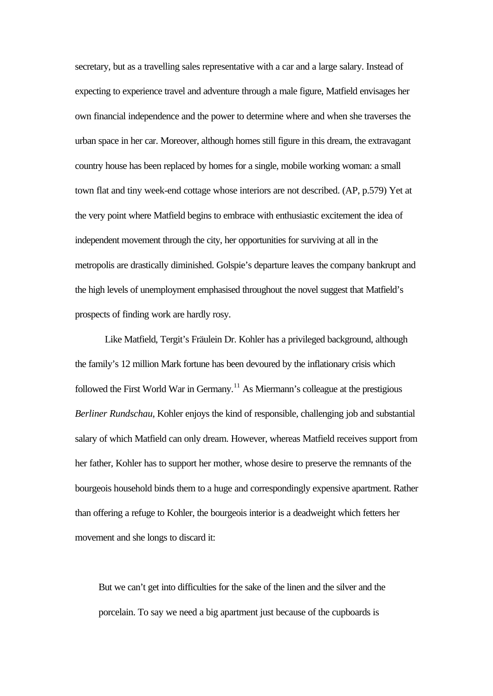secretary, but as a travelling sales representative with a car and a large salary. Instead of expecting to experience travel and adventure through a male figure, Matfield envisages her own financial independence and the power to determine where and when she traverses the urban space in her car. Moreover, although homes still figure in this dream, the extravagant country house has been replaced by homes for a single, mobile working woman: a small town flat and tiny week-end cottage whose interiors are not described. (AP, p.579) Yet at the very point where Matfield begins to embrace with enthusiastic excitement the idea of independent movement through the city, her opportunities for surviving at all in the metropolis are drastically diminished. Golspie's departure leaves the company bankrupt and the high levels of unemployment emphasised throughout the novel suggest that Matfield's prospects of finding work are hardly rosy.

Like Matfield, Tergit's Fräulein Dr. Kohler has a privileged background, although the family's 12 million Mark fortune has been devoured by the inflationary crisis which followed the First World War in Germany.<sup>11</sup> As Miermann's colleague at the prestigious *Berliner Rundschau*, Kohler enjoys the kind of responsible, challenging job and substantial salary of which Matfield can only dream. However, whereas Matfield receives support from her father, Kohler has to support her mother, whose desire to preserve the remnants of the bourgeois household binds them to a huge and correspondingly expensive apartment. Rather than offering a refuge to Kohler, the bourgeois interior is a deadweight which fetters her movement and she longs to discard it:

But we can't get into difficulties for the sake of the linen and the silver and the porcelain. To say we need a big apartment just because of the cupboards is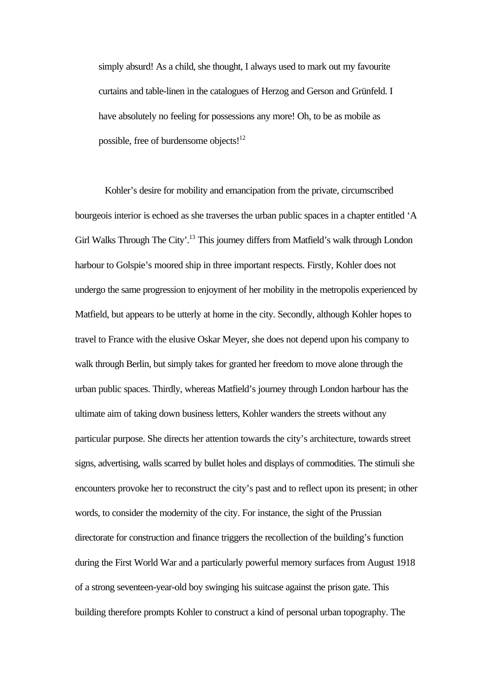simply absurd! As a child, she thought, I always used to mark out my favourite curtains and table-linen in the catalogues of Herzog and Gerson and Grünfeld. I have absolutely no feeling for possessions any more! Oh, to be as mobile as possible, free of burdensome objects! $12$ 

Kohler's desire for mobility and emancipation from the private, circumscribed bourgeois interior is echoed as she traverses the urban public spaces in a chapter entitled 'A Girl Walks Through The City'.<sup>13</sup> This journey differs from Matfield's walk through London harbour to Golspie's moored ship in three important respects. Firstly, Kohler does not undergo the same progression to enjoyment of her mobility in the metropolis experienced by Matfield, but appears to be utterly at home in the city. Secondly, although Kohler hopes to travel to France with the elusive Oskar Meyer, she does not depend upon his company to walk through Berlin, but simply takes for granted her freedom to move alone through the urban public spaces. Thirdly, whereas Matfield's journey through London harbour has the ultimate aim of taking down business letters, Kohler wanders the streets without any particular purpose. She directs her attention towards the city's architecture, towards street signs, advertising, walls scarred by bullet holes and displays of commodities. The stimuli she encounters provoke her to reconstruct the city's past and to reflect upon its present; in other words, to consider the modernity of the city. For instance, the sight of the Prussian directorate for construction and finance triggers the recollection of the building's function during the First World War and a particularly powerful memory surfaces from August 1918 of a strong seventeen-year-old boy swinging his suitcase against the prison gate. This building therefore prompts Kohler to construct a kind of personal urban topography. The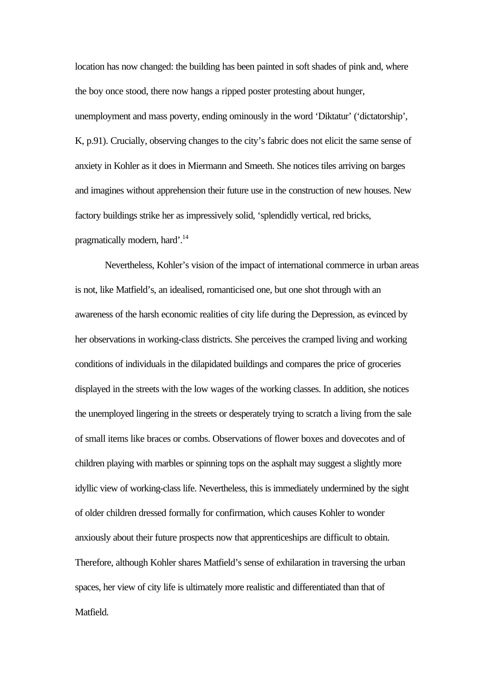location has now changed: the building has been painted in soft shades of pink and, where the boy once stood, there now hangs a ripped poster protesting about hunger, unemployment and mass poverty, ending ominously in the word 'Diktatur' ('dictatorship', K, p.91). Crucially, observing changes to the city's fabric does not elicit the same sense of anxiety in Kohler as it does in Miermann and Smeeth. She notices tiles arriving on barges and imagines without apprehension their future use in the construction of new houses. New factory buildings strike her as impressively solid, 'splendidly vertical, red bricks, pragmatically modern, hard'.<sup>14</sup>

Nevertheless, Kohler's vision of the impact of international commerce in urban areas is not, like Matfield's, an idealised, romanticised one, but one shot through with an awareness of the harsh economic realities of city life during the Depression, as evinced by her observations in working-class districts. She perceives the cramped living and working conditions of individuals in the dilapidated buildings and compares the price of groceries displayed in the streets with the low wages of the working classes. In addition, she notices the unemployed lingering in the streets or desperately trying to scratch a living from the sale of small items like braces or combs. Observations of flower boxes and dovecotes and of children playing with marbles or spinning tops on the asphalt may suggest a slightly more idyllic view of working-class life. Nevertheless, this is immediately undermined by the sight of older children dressed formally for confirmation, which causes Kohler to wonder anxiously about their future prospects now that apprenticeships are difficult to obtain. Therefore, although Kohler shares Matfield's sense of exhilaration in traversing the urban spaces, her view of city life is ultimately more realistic and differentiated than that of Matfield.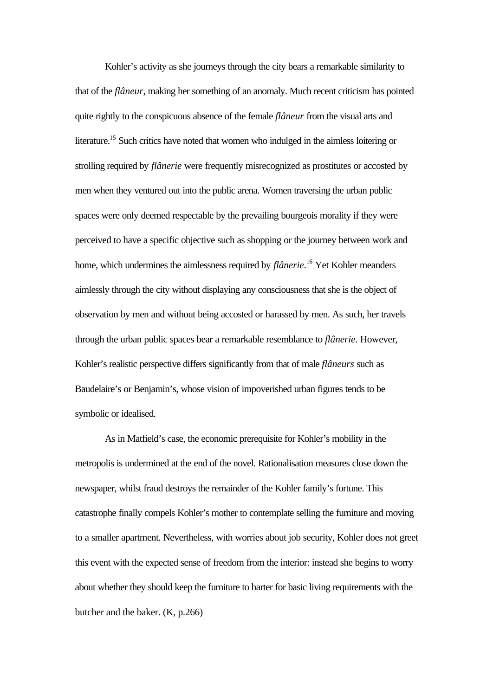Kohler's activity as she journeys through the city bears a remarkable similarity to that of the *flâneur*, making her something of an anomaly. Much recent criticism has pointed quite rightly to the conspicuous absence of the female *flâneur* from the visual arts and literature.<sup>15</sup> Such critics have noted that women who indulged in the aimless loitering or strolling required by *flânerie* were frequently misrecognized as prostitutes or accosted by men when they ventured out into the public arena. Women traversing the urban public spaces were only deemed respectable by the prevailing bourgeois morality if they were perceived to have a specific objective such as shopping or the journey between work and home, which undermines the aimlessness required by *flânerie*. <sup>16</sup> Yet Kohler meanders aimlessly through the city without displaying any consciousness that she is the object of observation by men and without being accosted or harassed by men. As such, her travels through the urban public spaces bear a remarkable resemblance to *flânerie*. However, Kohler's realistic perspective differs significantly from that of male *flâneurs* such as Baudelaire's or Benjamin's, whose vision of impoverished urban figures tends to be symbolic or idealised.

As in Matfield's case, the economic prerequisite for Kohler's mobility in the metropolis is undermined at the end of the novel. Rationalisation measures close down the newspaper, whilst fraud destroys the remainder of the Kohler family's fortune. This catastrophe finally compels Kohler's mother to contemplate selling the furniture and moving to a smaller apartment. Nevertheless, with worries about job security, Kohler does not greet this event with the expected sense of freedom from the interior: instead she begins to worry about whether they should keep the furniture to barter for basic living requirements with the butcher and the baker. (K, p.266)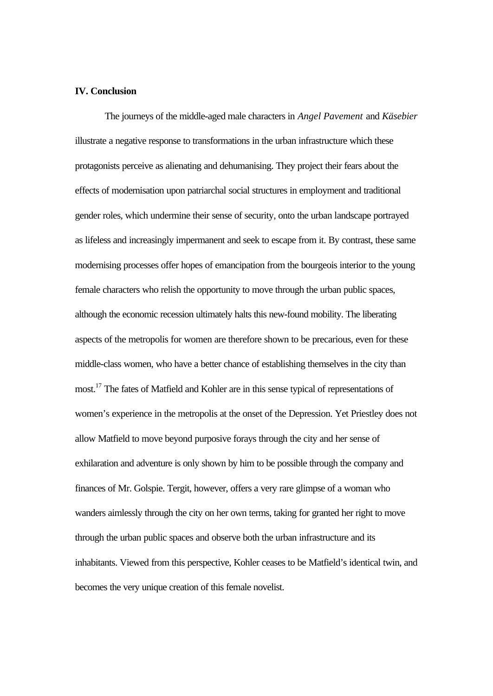### **IV. Conclusion**

The journeys of the middle-aged male characters in *Angel Pavement* and *Käsebier* illustrate a negative response to transformations in the urban infrastructure which these protagonists perceive as alienating and dehumanising. They project their fears about the effects of modernisation upon patriarchal social structures in employment and traditional gender roles, which undermine their sense of security, onto the urban landscape portrayed as lifeless and increasingly impermanent and seek to escape from it. By contrast, these same modernising processes offer hopes of emancipation from the bourgeois interior to the young female characters who relish the opportunity to move through the urban public spaces, although the economic recession ultimately halts this new-found mobility. The liberating aspects of the metropolis for women are therefore shown to be precarious, even for these middle-class women, who have a better chance of establishing themselves in the city than most.<sup>17</sup> The fates of Matfield and Kohler are in this sense typical of representations of women's experience in the metropolis at the onset of the Depression. Yet Priestley does not allow Matfield to move beyond purposive forays through the city and her sense of exhilaration and adventure is only shown by him to be possible through the company and finances of Mr. Golspie. Tergit, however, offers a very rare glimpse of a woman who wanders aimlessly through the city on her own terms, taking for granted her right to move through the urban public spaces and observe both the urban infrastructure and its inhabitants. Viewed from this perspective, Kohler ceases to be Matfield's identical twin, and becomes the very unique creation of this female novelist.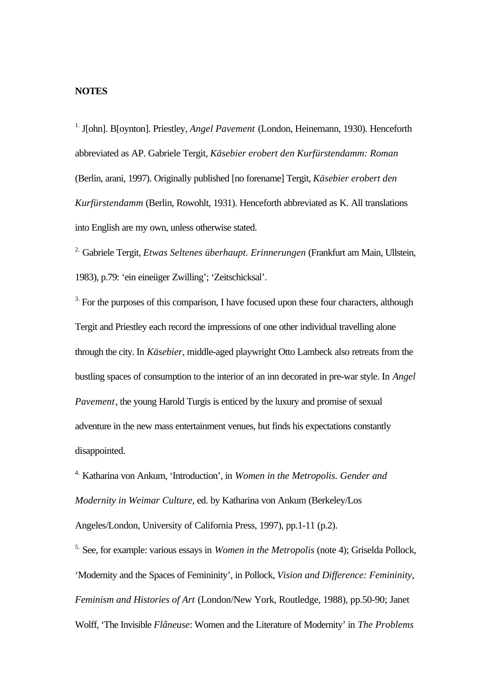# **NOTES**

1. J[ohn]. B[oynton]. Priestley, *Angel Pavement* (London, Heinemann, 1930). Henceforth abbreviated as AP. Gabriele Tergit, *Käsebier erobert den Kurfürstendamm: Roman* (Berlin, arani, 1997). Originally published [no forename] Tergit, *Käsebier erobert den Kurfürstendamm* (Berlin, Rowohlt, 1931). Henceforth abbreviated as K. All translations into English are my own, unless otherwise stated.

2. Gabriele Tergit, *Etwas Seltenes überhaupt. Erinnerungen* (Frankfurt am Main, Ullstein, 1983), p.79: 'ein eineiiger Zwilling'; 'Zeitschicksal'.

 $3.$  For the purposes of this comparison, I have focused upon these four characters, although Tergit and Priestley each record the impressions of one other individual travelling alone through the city. In *Käsebier*, middle-aged playwright Otto Lambeck also retreats from the bustling spaces of consumption to the interior of an inn decorated in pre-war style. In *Angel Pavement*, the young Harold Turgis is enticed by the luxury and promise of sexual adventure in the new mass entertainment venues, but finds his expectations constantly disappointed.

4. Katharina von Ankum, 'Introduction', in *Women in the Metropolis. Gender and Modernity in Weimar Culture*, ed. by Katharina von Ankum (Berkeley/Los Angeles/London, University of California Press, 1997), pp.1-11 (p.2).

5. See, for example: various essays in *Women in the Metropolis* (note 4); Griselda Pollock, 'Modernity and the Spaces of Femininity', in Pollock, *Vision and Difference: Femininity, Feminism and Histories of Art* (London/New York, Routledge, 1988), pp.50-90; Janet Wolff, 'The Invisible *Flâneuse*: Women and the Literature of Modernity' in *The Problems*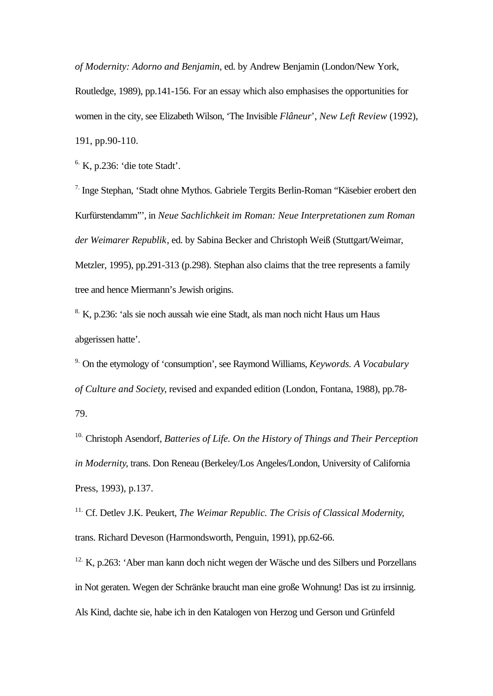*of Modernity: Adorno and Benjamin*, ed. by Andrew Benjamin (London/New York, Routledge, 1989), pp.141-156. For an essay which also emphasises the opportunities for women in the city, see Elizabeth Wilson, 'The Invisible *Flâneur*', *New Left Review* (1992),

191, pp.90-110.

 $6.$  K, p.236: 'die tote Stadt'.

7. Inge Stephan, 'Stadt ohne Mythos. Gabriele Tergits Berlin-Roman "Käsebier erobert den Kurfürstendamm"', in *Neue Sachlichkeit im Roman: Neue Interpretationen zum Roman der Weimarer Republik*, ed. by Sabina Becker and Christoph Weiß (Stuttgart/Weimar, Metzler, 1995), pp.291-313 (p.298). Stephan also claims that the tree represents a family tree and hence Miermann's Jewish origins.

8. K, p.236: 'als sie noch aussah wie eine Stadt, als man noch nicht Haus um Haus abgerissen hatte'.

9. On the etymology of 'consumption', see Raymond Williams, *Keywords. A Vocabulary of Culture and Society*, revised and expanded edition (London, Fontana, 1988), pp.78- 79.

10. Christoph Asendorf, *Batteries of Life. On the History of Things and Their Perception in Modernity*, trans. Don Reneau (Berkeley/Los Angeles/London, University of California Press, 1993), p.137.

11. Cf. Detlev J.K. Peukert, *The Weimar Republic. The Crisis of Classical Modernity*, trans. Richard Deveson (Harmondsworth, Penguin, 1991), pp.62-66.

<sup>12.</sup> K, p.263: 'Aber man kann doch nicht wegen der Wäsche und des Silbers und Porzellans in Not geraten. Wegen der Schränke braucht man eine große Wohnung! Das ist zu irrsinnig. Als Kind, dachte sie, habe ich in den Katalogen von Herzog und Gerson und Grünfeld